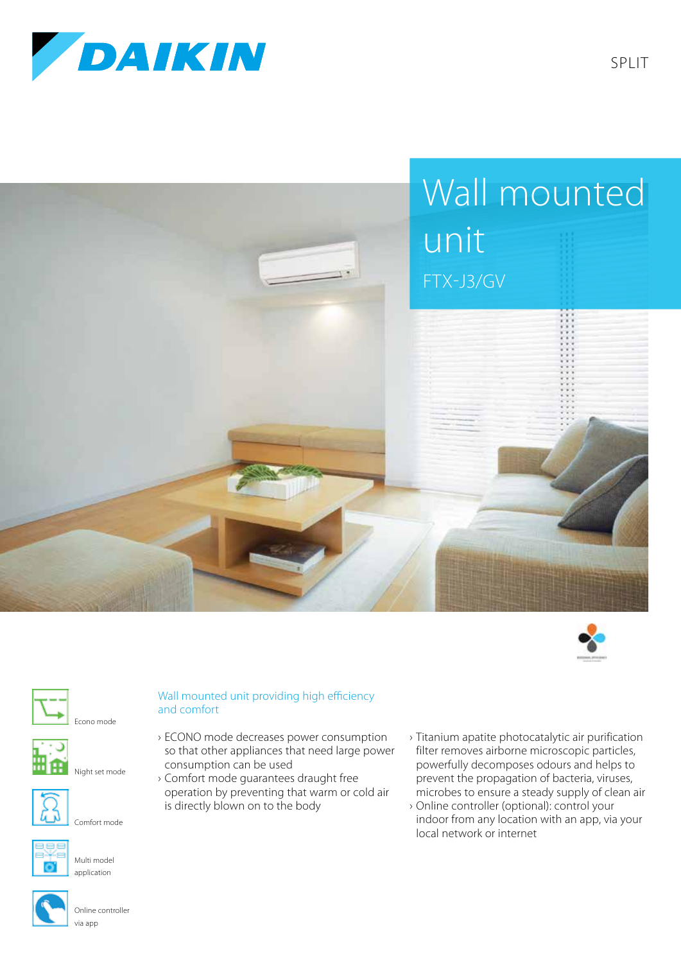

















Multi model application

## Night set mode

## Online controller via app

## Wall mounted unit providing high efficiency and comfort

- › ECONO mode decreases power consumption so that other appliances that need large power consumption can be used
- › Comfort mode guarantees draught free operation by preventing that warm or cold air is directly blown on to the body
- › Titanium apatite photocatalytic air purification filter removes airborne microscopic particles, powerfully decomposes odours and helps to prevent the propagation of bacteria, viruses, microbes to ensure a steady supply of clean air
- › Online controller (optional): control your indoor from any location with an app, via your local network or internet